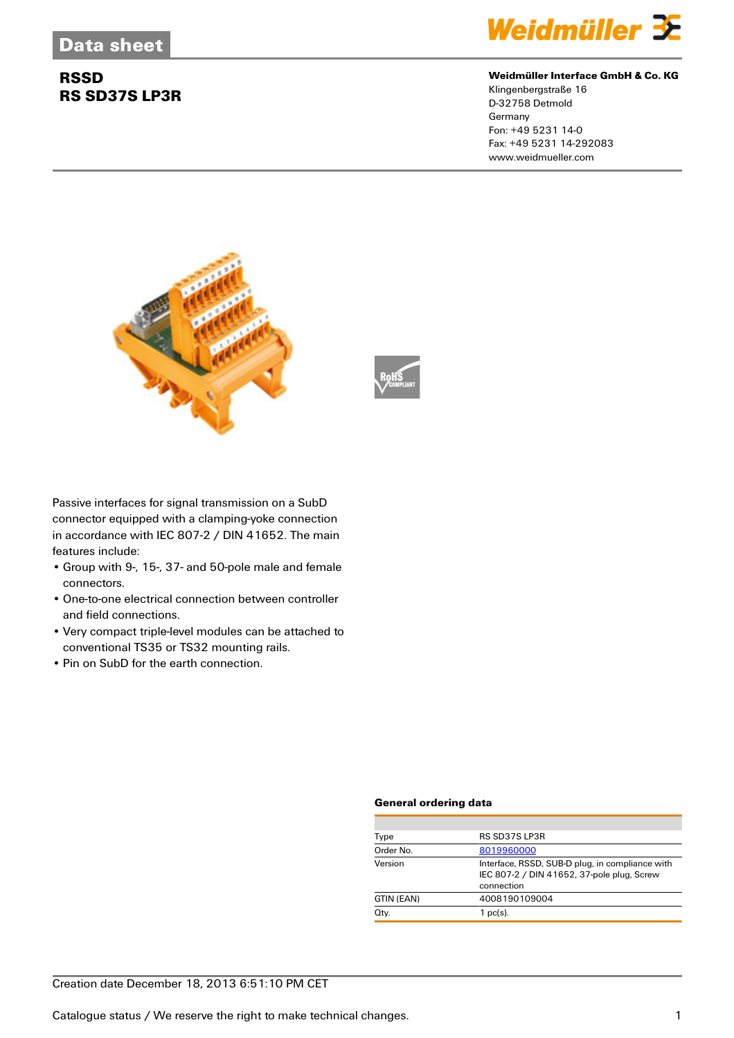## **RSSD RS SD37S LP3R**



#### **Weidmüller Interface GmbH & Co. KG**

Klingenbergstraße 16 D-32758 Detmold Germany Fon: +49 5231 14-0 Fax: +49 5231 14-292083 www.weidmueller.com





Passive interfaces for signal transmission on a SubD connector equipped with a clamping-yoke connection in accordance with IEC 807-2 / DIN 41652. The main features include:

- Group with 9-, 15-, 37- and 50-pole male and female connectors.
- One-to-one electrical connection between controller and field connections.
- Very compact triple-level modules can be attached to conventional TS35 or TS32 mounting rails.
- Pin on SubD for the earth connection.

#### **General ordering data**

| Type       | RS SD37S LP3R                                                                                               |  |  |
|------------|-------------------------------------------------------------------------------------------------------------|--|--|
| Order No.  | 8019960000                                                                                                  |  |  |
| Version    | Interface, RSSD, SUB-D plug, in compliance with<br>IEC 807-2 / DIN 41652, 37-pole plug, Screw<br>connection |  |  |
| GTIN (EAN) | 4008190109004                                                                                               |  |  |
| Qty.       | $1$ pc(s).                                                                                                  |  |  |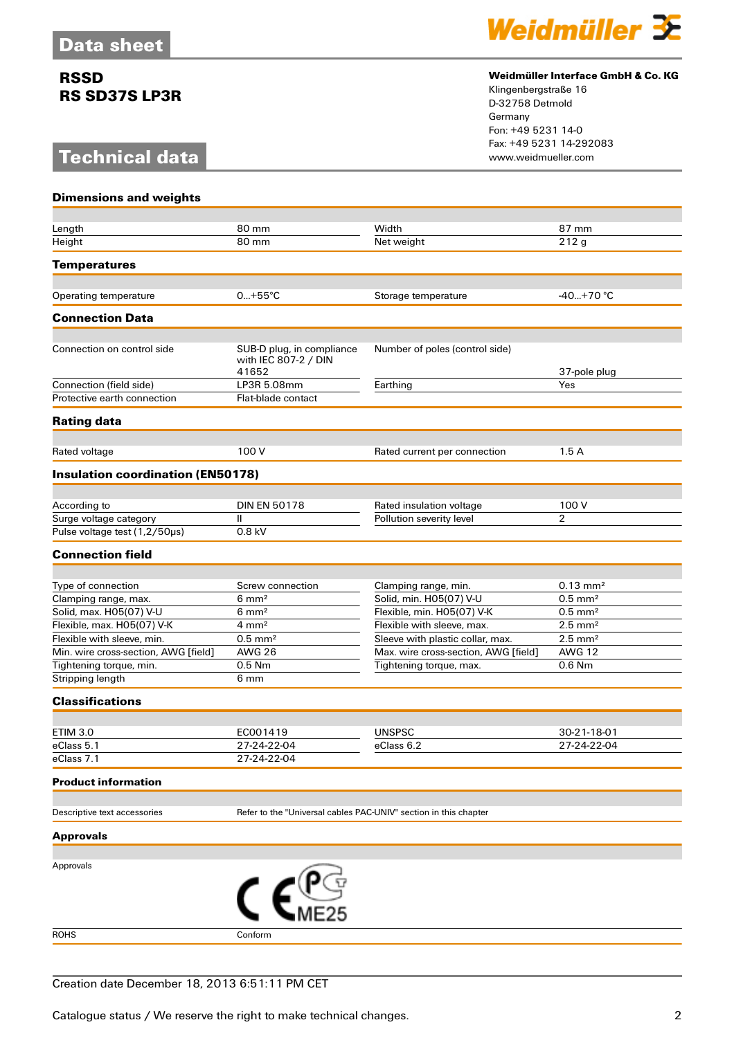## **RSSD RS SD37S LP3R**

# **Technical data**



### **Weidmüller Interface GmbH & Co. KG**

Klingenbergstraße 16 D-32758 Detmold Germany Fon: +49 5231 14-0 Fax: +49 5231 14-292083

| <b>Dimensions and weights</b>               |                                                                  |                                      |                       |  |
|---------------------------------------------|------------------------------------------------------------------|--------------------------------------|-----------------------|--|
|                                             |                                                                  |                                      |                       |  |
| Length                                      | 80 mm                                                            | Width                                | 87 mm                 |  |
| Height                                      | 80 mm                                                            | Net weight                           | 212g                  |  |
| <b>Temperatures</b>                         |                                                                  |                                      |                       |  |
|                                             |                                                                  |                                      |                       |  |
| Operating temperature                       | $0+55^{\circ}C$                                                  | Storage temperature                  | $-40+70$ °C           |  |
| <b>Connection Data</b>                      |                                                                  |                                      |                       |  |
| Connection on control side                  | SUB-D plug, in compliance<br>with IEC 807-2 / DIN<br>41652       | Number of poles (control side)       | 37-pole plug          |  |
| Connection (field side)                     | LP3R 5.08mm                                                      | Earthing                             | Yes                   |  |
| Protective earth connection                 | Flat-blade contact                                               |                                      |                       |  |
| <b>Rating data</b>                          |                                                                  |                                      |                       |  |
|                                             |                                                                  |                                      |                       |  |
| Rated voltage                               | 100 V                                                            | Rated current per connection         | 1.5A                  |  |
| <b>Insulation coordination (EN50178)</b>    |                                                                  |                                      |                       |  |
| According to                                | <b>DIN EN 50178</b>                                              | Rated insulation voltage             | 100 V                 |  |
| Surge voltage category                      | Ш                                                                | Pollution severity level             | $\overline{2}$        |  |
| Pulse voltage test (1,2/50µs)               | 0.8 kV                                                           |                                      |                       |  |
| <b>Connection field</b>                     |                                                                  |                                      |                       |  |
|                                             |                                                                  |                                      |                       |  |
| Type of connection                          | Screw connection                                                 | Clamping range, min.                 | $0.13 \text{ mm}^2$   |  |
| Clamping range, max.                        | $6 \text{ mm}^2$                                                 | Solid, min. H05(07) V-U              | $0.5$ mm <sup>2</sup> |  |
| Solid, max. H05(07) V-U                     | $6 \text{ mm}^2$                                                 | Flexible, min. H05(07) V-K           | $0.5$ mm <sup>2</sup> |  |
| Flexible, max. H05(07) V-K                  | $4 \, \text{mm}^2$                                               | Flexible with sleeve, max.           | $2.5$ mm <sup>2</sup> |  |
| Flexible with sleeve, min.                  | $0.5$ mm <sup>2</sup>                                            | Sleeve with plastic collar, max.     | $2.5$ mm <sup>2</sup> |  |
| Min. wire cross-section, AWG [field]        | <b>AWG 26</b><br>0.5 Nm                                          | Max. wire cross-section, AWG [field] | <b>AWG 12</b>         |  |
| Tightening torque, min.<br>Stripping length | 6 mm                                                             | Tightening torque, max.              | 0.6 Nm                |  |
| <b>Classifications</b>                      |                                                                  |                                      |                       |  |
|                                             |                                                                  |                                      |                       |  |
| <b>ETIM 3.0</b>                             | EC001419                                                         | <b>UNSPSC</b>                        | 30-21-18-01           |  |
| eClass 5.1                                  | 27-24-22-04                                                      | eClass 6.2                           | 27-24-22-04           |  |
| eClass 7.1                                  | 27-24-22-04                                                      |                                      |                       |  |
| <b>Product information</b>                  |                                                                  |                                      |                       |  |
| Descriptive text accessories                |                                                                  |                                      |                       |  |
|                                             | Refer to the "Universal cables PAC-UNIV" section in this chapter |                                      |                       |  |
| <b>Approvals</b>                            |                                                                  |                                      |                       |  |
| Approvals                                   |                                                                  |                                      |                       |  |
|                                             |                                                                  |                                      |                       |  |
| <b>ROHS</b>                                 | Conform                                                          |                                      |                       |  |
|                                             |                                                                  |                                      |                       |  |

Creation date December 18, 2013 6:51:11 PM CET

Catalogue status / We reserve the right to make technical changes. 2